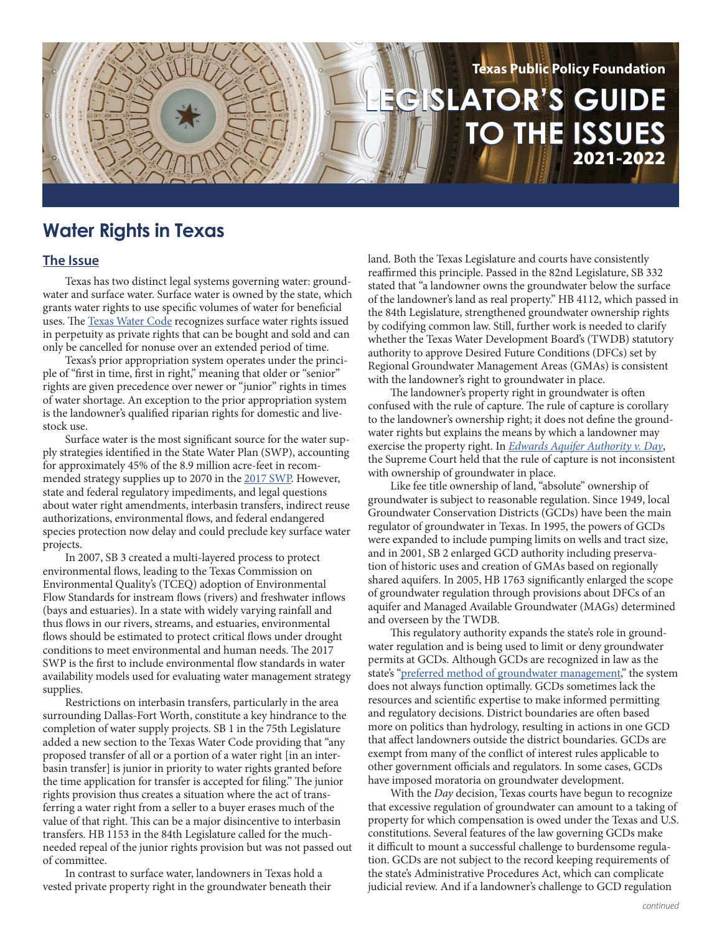

# **Water Rights in Texas**

## **The Issue**

Texas has two distinct legal systems governing water: groundwater and surface water. Surface water is owned by the state, which grants water rights to use specific volumes of water for beneficial uses. The [Texas Water Code](https://statutes.capitol.texas.gov/Docs/WA/htm/WA.11.htm) recognizes surface water rights issued in perpetuity as private rights that can be bought and sold and can only be cancelled for nonuse over an extended period of time.

Texas's prior appropriation system operates under the principle of "first in time, first in right," meaning that older or "senior" rights are given precedence over newer or "junior" rights in times of water shortage. An exception to the prior appropriation system is the landowner's qualified riparian rights for domestic and livestock use.

Surface water is the most significant source for the water supply strategies identified in the State Water Plan (SWP), accounting for approximately 45% of the 8.9 million acre-feet in recommended strategy supplies up to 2070 in the [2017 SWP.](http://www.twdb.texas.gov/waterplanning/swp/2017/chapters/00-SWP17-EXEC-SUMMARY.pdf) However, state and federal regulatory impediments, and legal questions about water right amendments, interbasin transfers, indirect reuse authorizations, environmental flows, and federal endangered species protection now delay and could preclude key surface water projects.

In 2007, SB 3 created a multi-layered process to protect environmental flows, leading to the Texas Commission on Environmental Quality's (TCEQ) adoption of Environmental Flow Standards for instream flows (rivers) and freshwater inflows (bays and estuaries). In a state with widely varying rainfall and thus flows in our rivers, streams, and estuaries, environmental flows should be estimated to protect critical flows under drought conditions to meet environmental and human needs. The 2017 SWP is the first to include environmental flow standards in water availability models used for evaluating water management strategy supplies.

Restrictions on interbasin transfers, particularly in the area surrounding Dallas-Fort Worth, constitute a key hindrance to the completion of water supply projects. SB 1 in the 75th Legislature added a new section to the Texas Water Code providing that "any proposed transfer of all or a portion of a water right [in an interbasin transfer] is junior in priority to water rights granted before the time application for transfer is accepted for filing." The junior rights provision thus creates a situation where the act of transferring a water right from a seller to a buyer erases much of the value of that right. This can be a major disincentive to interbasin transfers. HB 1153 in the 84th Legislature called for the muchneeded repeal of the junior rights provision but was not passed out of committee.

In contrast to surface water, landowners in Texas hold a vested private property right in the groundwater beneath their land. Both the Texas Legislature and courts have consistently reaffirmed this principle. Passed in the 82nd Legislature, SB 332 stated that "a landowner owns the groundwater below the surface of the landowner's land as real property." HB 4112, which passed in the 84th Legislature, strengthened groundwater ownership rights by codifying common law. Still, further work is needed to clarify whether the Texas Water Development Board's (TWDB) statutory authority to approve Desired Future Conditions (DFCs) set by Regional Groundwater Management Areas (GMAs) is consistent with the landowner's right to groundwater in place.

The landowner's property right in groundwater is often confused with the rule of capture. The rule of capture is corollary to the landowner's ownership right; it does not define the groundwater rights but explains the means by which a landowner may exercise the property right. In *[Edwards Aquifer Authority v. Day](https://scholar.google.com/scholar_case?case=17654424129403106972&hl=en&as_sdt=6&as_vis=1&oi=scholarr)*, the Supreme Court held that the rule of capture is not inconsistent with ownership of groundwater in place.

Like fee title ownership of land, "absolute" ownership of groundwater is subject to reasonable regulation. Since 1949, local Groundwater Conservation Districts (GCDs) have been the main regulator of groundwater in Texas. In 1995, the powers of GCDs were expanded to include pumping limits on wells and tract size, and in 2001, SB 2 enlarged GCD authority including preservation of historic uses and creation of GMAs based on regionally shared aquifers. In 2005, HB 1763 significantly enlarged the scope of groundwater regulation through provisions about DFCs of an aquifer and Managed Available Groundwater (MAGs) determined and overseen by the TWDB.

This regulatory authority expands the state's role in groundwater regulation and is being used to limit or deny groundwater permits at GCDs. Although GCDs are recognized in law as the state's ["preferred method of groundwater management](https://statutes.capitol.texas.gov/Docs/WA/htm/WA.36.htm#36.0015)," the system does not always function optimally. GCDs sometimes lack the resources and scientific expertise to make informed permitting and regulatory decisions. District boundaries are often based more on politics than hydrology, resulting in actions in one GCD that affect landowners outside the district boundaries. GCDs are exempt from many of the conflict of interest rules applicable to other government officials and regulators. In some cases, GCDs have imposed moratoria on groundwater development.

With the *Day* decision, Texas courts have begun to recognize that excessive regulation of groundwater can amount to a taking of property for which compensation is owed under the Texas and U.S. constitutions. Several features of the law governing GCDs make it difficult to mount a successful challenge to burdensome regulation. GCDs are not subject to the record keeping requirements of the state's Administrative Procedures Act, which can complicate judicial review. And if a landowner's challenge to GCD regulation